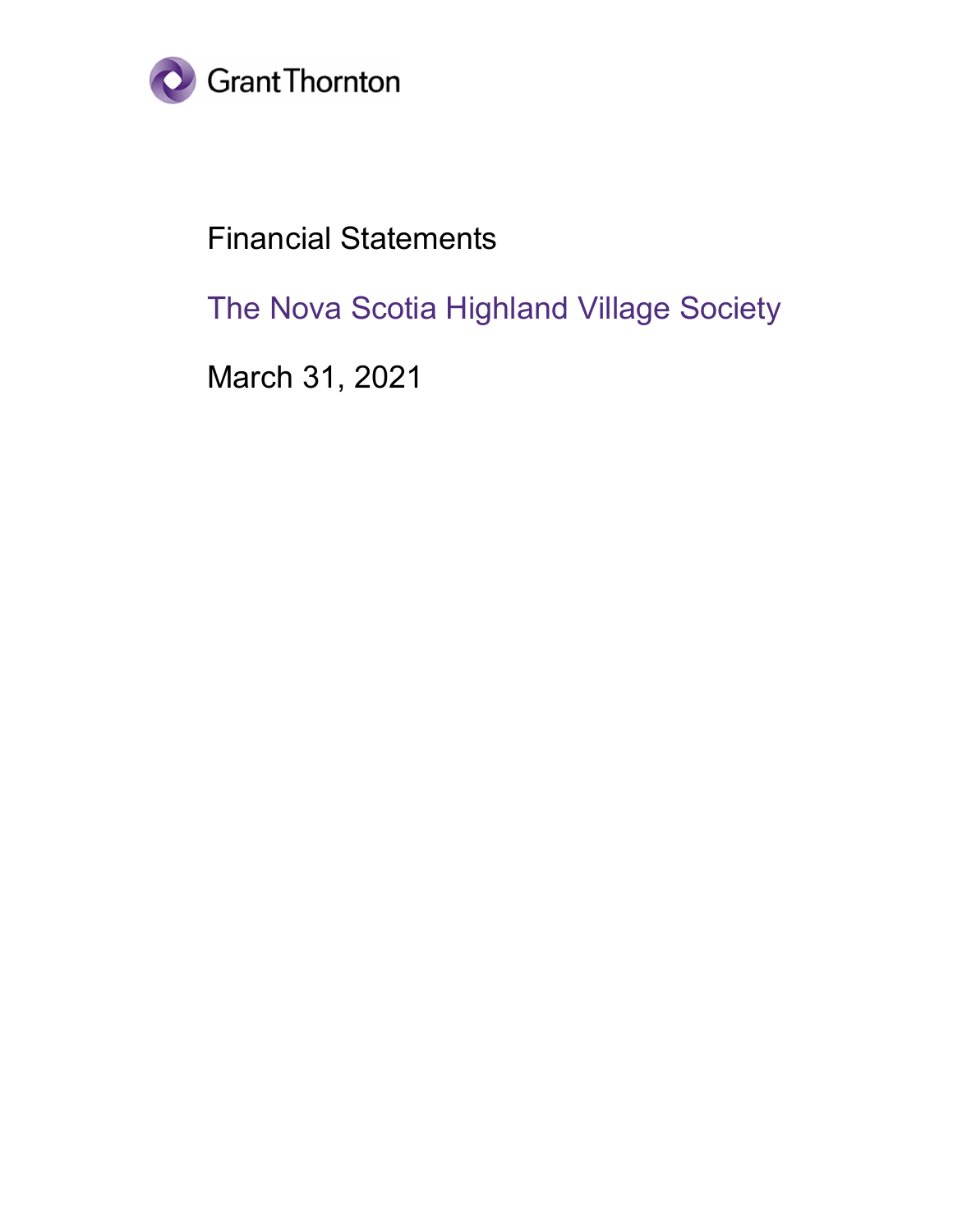

# Financial Statements

The Nova Scotia Highland Village Society

March 31, 2021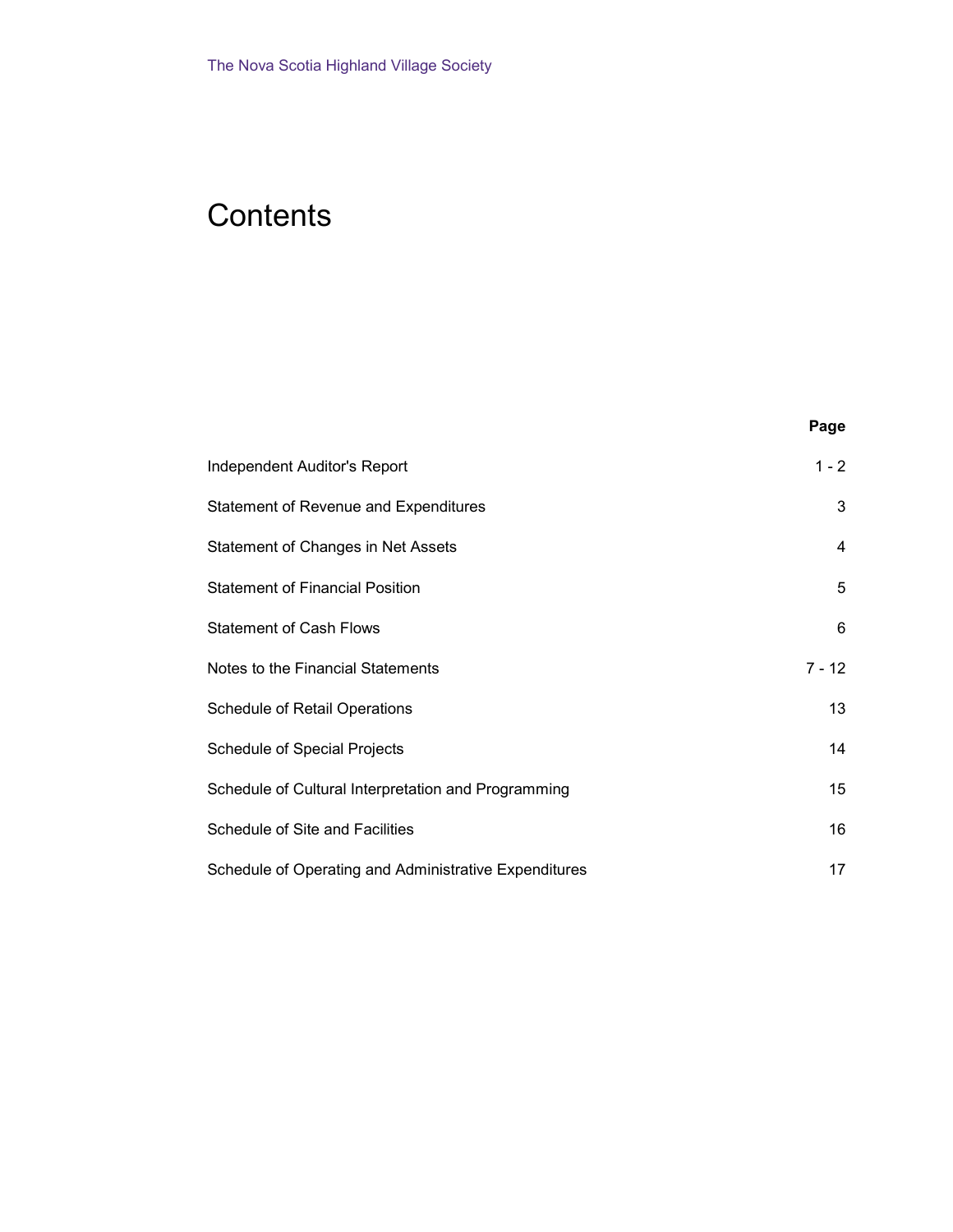# **Contents**

| <b>Independent Auditor's Report</b>                   | $1 - 2$  |
|-------------------------------------------------------|----------|
| <b>Statement of Revenue and Expenditures</b>          | 3        |
| Statement of Changes in Net Assets                    | 4        |
| <b>Statement of Financial Position</b>                | 5        |
| <b>Statement of Cash Flows</b>                        | 6        |
| Notes to the Financial Statements                     | $7 - 12$ |
| <b>Schedule of Retail Operations</b>                  | 13       |
| Schedule of Special Projects                          | 14       |
| Schedule of Cultural Interpretation and Programming   | 15       |
| Schedule of Site and Facilities                       | 16       |
| Schedule of Operating and Administrative Expenditures | 17       |

Page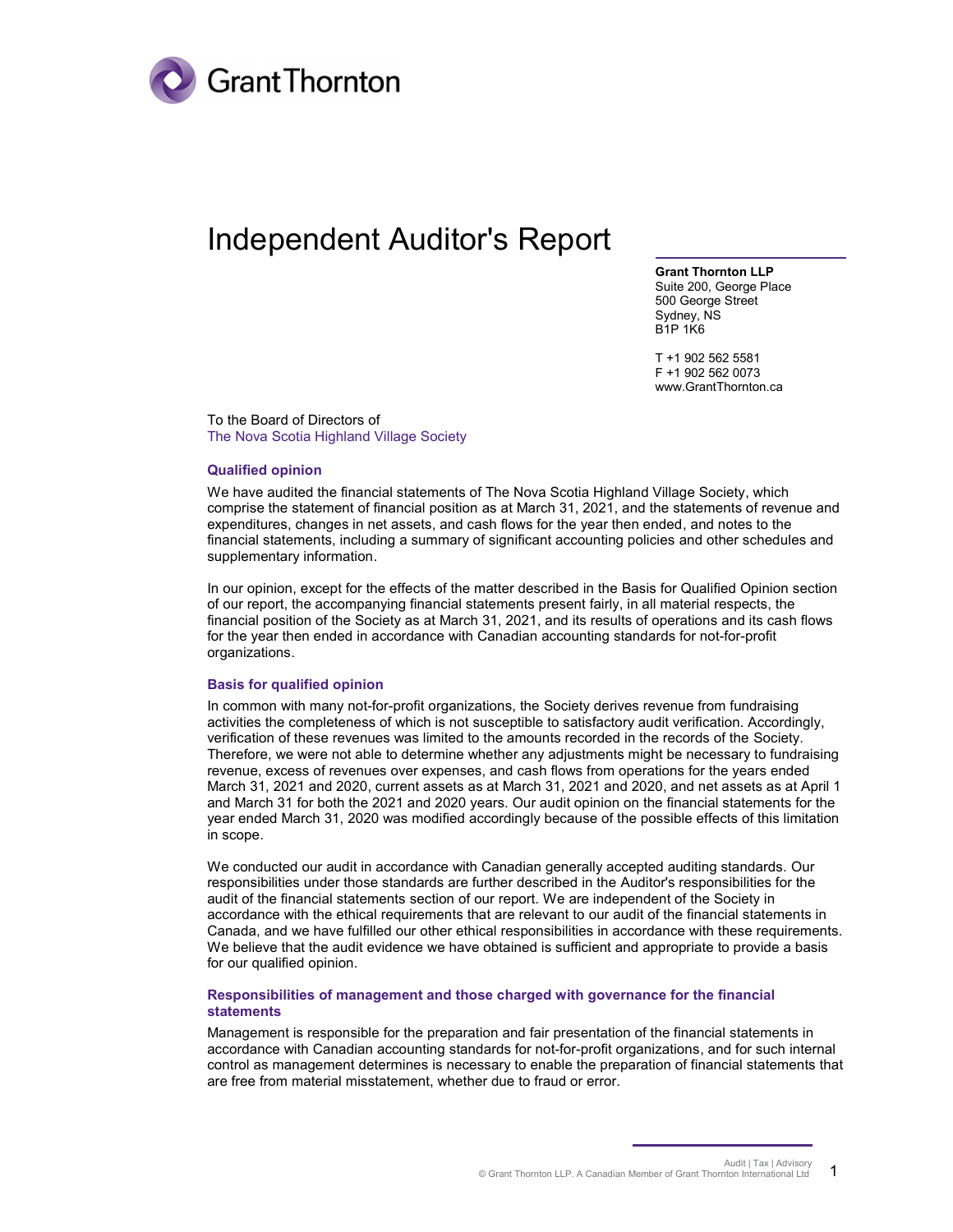

## Independent Auditor's Report

Grant Thornton LLP Suite 200, George Place 500 George Street Sydney, NS B1P 1K6

T +1 902 562 5581 F +1 902 562 0073 www.GrantThornton.ca

To the Board of Directors of The Nova Scotia Highland Village Society

#### Qualified opinion

We have audited the financial statements of The Nova Scotia Highland Village Society, which comprise the statement of financial position as at March 31, 2021, and the statements of revenue and expenditures, changes in net assets, and cash flows for the year then ended, and notes to the financial statements, including a summary of significant accounting policies and other schedules and supplementary information.

In our opinion, except for the effects of the matter described in the Basis for Qualified Opinion section of our report, the accompanying financial statements present fairly, in all material respects, the financial position of the Society as at March 31, 2021, and its results of operations and its cash flows for the year then ended in accordance with Canadian accounting standards for not-for-profit organizations.

#### Basis for qualified opinion

In common with many not-for-profit organizations, the Society derives revenue from fundraising activities the completeness of which is not susceptible to satisfactory audit verification. Accordingly, verification of these revenues was limited to the amounts recorded in the records of the Society. Therefore, we were not able to determine whether any adjustments might be necessary to fundraising revenue, excess of revenues over expenses, and cash flows from operations for the years ended March 31, 2021 and 2020, current assets as at March 31, 2021 and 2020, and net assets as at April 1 and March 31 for both the 2021 and 2020 years. Our audit opinion on the financial statements for the year ended March 31, 2020 was modified accordingly because of the possible effects of this limitation in scope.

We conducted our audit in accordance with Canadian generally accepted auditing standards. Our responsibilities under those standards are further described in the Auditor's responsibilities for the audit of the financial statements section of our report. We are independent of the Society in accordance with the ethical requirements that are relevant to our audit of the financial statements in Canada, and we have fulfilled our other ethical responsibilities in accordance with these requirements. We believe that the audit evidence we have obtained is sufficient and appropriate to provide a basis for our qualified opinion.

#### Responsibilities of management and those charged with governance for the financial statements

Management is responsible for the preparation and fair presentation of the financial statements in accordance with Canadian accounting standards for not-for-profit organizations, and for such internal control as management determines is necessary to enable the preparation of financial statements that are free from material misstatement, whether due to fraud or error.

> Audit | Tax | Advisory © Grant Thornton LLP. A Canadian Member of Grant Thornton International Ltd 1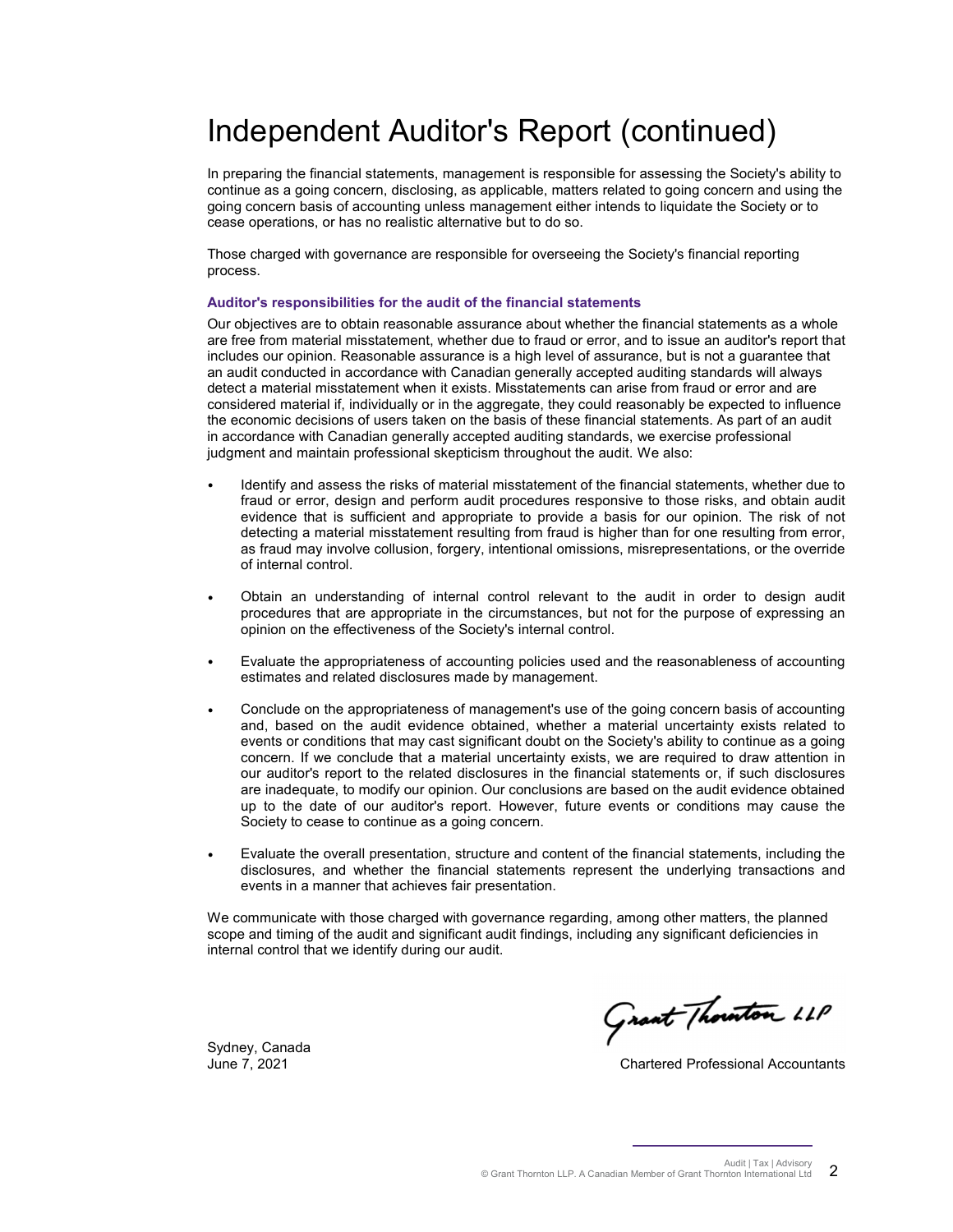# Independent Auditor's Report (continued)

In preparing the financial statements, management is responsible for assessing the Society's ability to continue as a going concern, disclosing, as applicable, matters related to going concern and using the going concern basis of accounting unless management either intends to liquidate the Society or to cease operations, or has no realistic alternative but to do so.

Those charged with governance are responsible for overseeing the Society's financial reporting process.

#### Auditor's responsibilities for the audit of the financial statements

Our objectives are to obtain reasonable assurance about whether the financial statements as a whole are free from material misstatement, whether due to fraud or error, and to issue an auditor's report that includes our opinion. Reasonable assurance is a high level of assurance, but is not a guarantee that an audit conducted in accordance with Canadian generally accepted auditing standards will always detect a material misstatement when it exists. Misstatements can arise from fraud or error and are considered material if, individually or in the aggregate, they could reasonably be expected to influence the economic decisions of users taken on the basis of these financial statements. As part of an audit in accordance with Canadian generally accepted auditing standards, we exercise professional judgment and maintain professional skepticism throughout the audit. We also:

- Identify and assess the risks of material misstatement of the financial statements, whether due to fraud or error, design and perform audit procedures responsive to those risks, and obtain audit evidence that is sufficient and appropriate to provide a basis for our opinion. The risk of not detecting a material misstatement resulting from fraud is higher than for one resulting from error, as fraud may involve collusion, forgery, intentional omissions, misrepresentations, or the override of internal control.
- Obtain an understanding of internal control relevant to the audit in order to design audit procedures that are appropriate in the circumstances, but not for the purpose of expressing an opinion on the effectiveness of the Society's internal control.
- Evaluate the appropriateness of accounting policies used and the reasonableness of accounting estimates and related disclosures made by management.
- Conclude on the appropriateness of management's use of the going concern basis of accounting and, based on the audit evidence obtained, whether a material uncertainty exists related to events or conditions that may cast significant doubt on the Society's ability to continue as a going concern. If we conclude that a material uncertainty exists, we are required to draw attention in our auditor's report to the related disclosures in the financial statements or, if such disclosures are inadequate, to modify our opinion. Our conclusions are based on the audit evidence obtained up to the date of our auditor's report. However, future events or conditions may cause the Society to cease to continue as a going concern.
- Evaluate the overall presentation, structure and content of the financial statements, including the disclosures, and whether the financial statements represent the underlying transactions and events in a manner that achieves fair presentation.

We communicate with those charged with governance regarding, among other matters, the planned scope and timing of the audit and significant audit findings, including any significant deficiencies in internal control that we identify during our audit.

Grant Thouton LLP

Sydney, Canada

June 7, 2021 Chartered Professional Accountants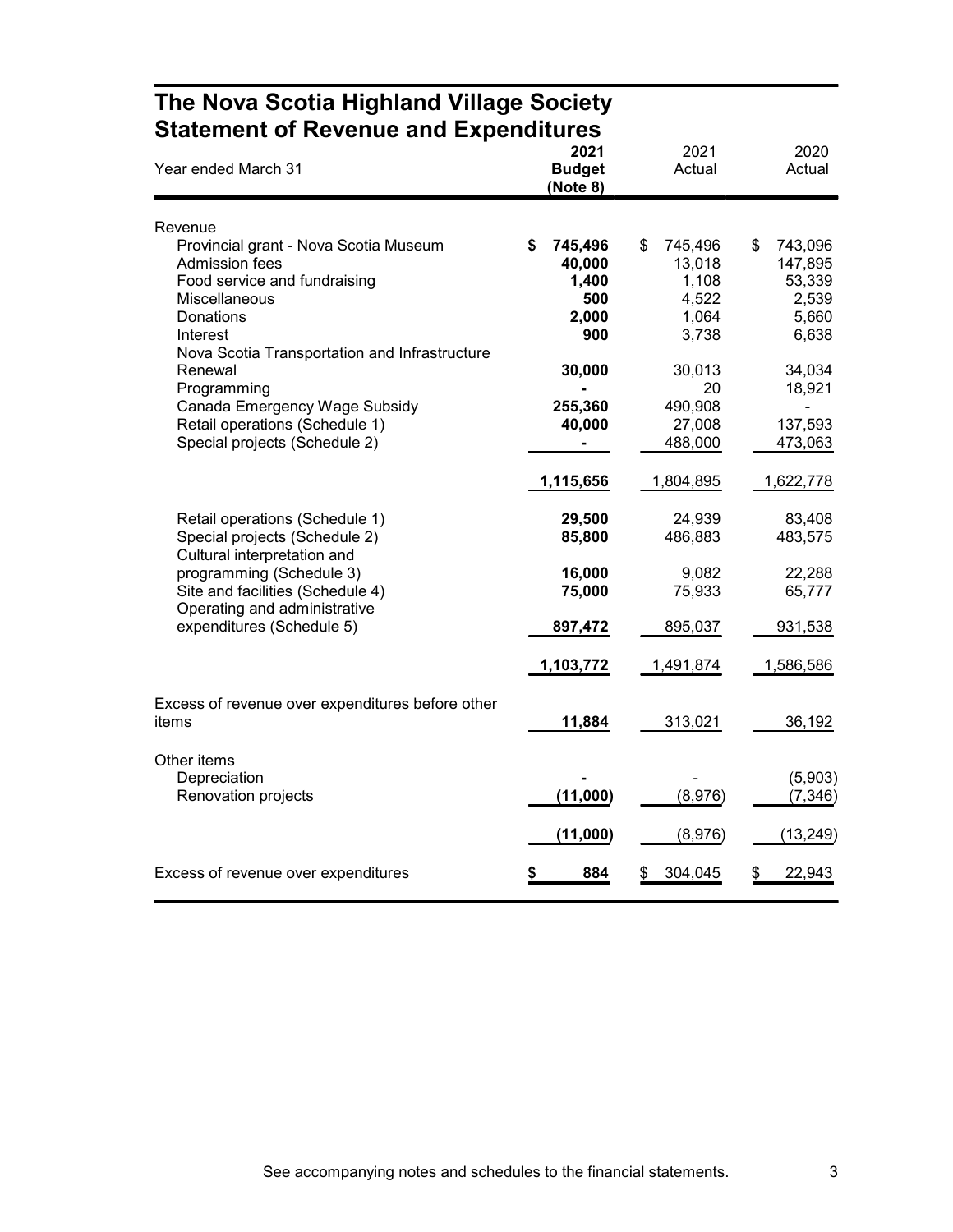|                                                                                                                                                                                           | <b>Statement of Revenue and Expenditures</b>      |                                                             |                                                               |  |  |  |  |  |  |
|-------------------------------------------------------------------------------------------------------------------------------------------------------------------------------------------|---------------------------------------------------|-------------------------------------------------------------|---------------------------------------------------------------|--|--|--|--|--|--|
| Year ended March 31                                                                                                                                                                       | 2021<br><b>Budget</b><br>(Note 8)                 | 2021<br>Actual                                              | 2020<br>Actual                                                |  |  |  |  |  |  |
| Revenue                                                                                                                                                                                   |                                                   |                                                             |                                                               |  |  |  |  |  |  |
| Provincial grant - Nova Scotia Museum<br>Admission fees<br>Food service and fundraising<br><b>Miscellaneous</b><br>Donations<br>Interest<br>Nova Scotia Transportation and Infrastructure | 745,496<br>40,000<br>1,400<br>500<br>2,000<br>900 | \$<br>745,496<br>13,018<br>1,108<br>4,522<br>1,064<br>3,738 | 743,096<br>\$<br>147,895<br>53,339<br>2,539<br>5,660<br>6,638 |  |  |  |  |  |  |
| Renewal<br>Programming<br>Canada Emergency Wage Subsidy<br>Retail operations (Schedule 1)<br>Special projects (Schedule 2)                                                                | 30,000<br>255,360<br>40,000                       | 30,013<br>20<br>490,908<br>27,008<br>488,000                | 34,034<br>18,921<br>137,593<br>473,063                        |  |  |  |  |  |  |
|                                                                                                                                                                                           | 1,115,656                                         | 1,804,895                                                   | 1,622,778                                                     |  |  |  |  |  |  |
| Retail operations (Schedule 1)<br>Special projects (Schedule 2)<br>Cultural interpretation and                                                                                            | 29,500<br>85,800                                  | 24,939<br>486,883                                           | 83,408<br>483,575                                             |  |  |  |  |  |  |
| programming (Schedule 3)<br>Site and facilities (Schedule 4)<br>Operating and administrative                                                                                              | 16,000<br>75,000                                  | 9,082<br>75,933                                             | 22,288<br>65,777                                              |  |  |  |  |  |  |
| expenditures (Schedule 5)                                                                                                                                                                 | 897,472                                           | 895,037                                                     | 931,538                                                       |  |  |  |  |  |  |
|                                                                                                                                                                                           | 1,103,772                                         | 1,491,874                                                   | 1,586,586                                                     |  |  |  |  |  |  |
| Excess of revenue over expenditures before other<br>items                                                                                                                                 | 11,884                                            | 313,021                                                     | 36,192                                                        |  |  |  |  |  |  |
| Other items<br>Depreciation<br>Renovation projects                                                                                                                                        | (11,000)                                          | (8,976)                                                     | (5,903)<br>(7, 346)                                           |  |  |  |  |  |  |
|                                                                                                                                                                                           | (11,000)                                          | (8,976)                                                     | (13, 249)                                                     |  |  |  |  |  |  |
| Excess of revenue over expenditures                                                                                                                                                       | 884                                               | 304,045<br>\$                                               | 22,943<br>\$                                                  |  |  |  |  |  |  |

# The Nova Scotia Highland Village Society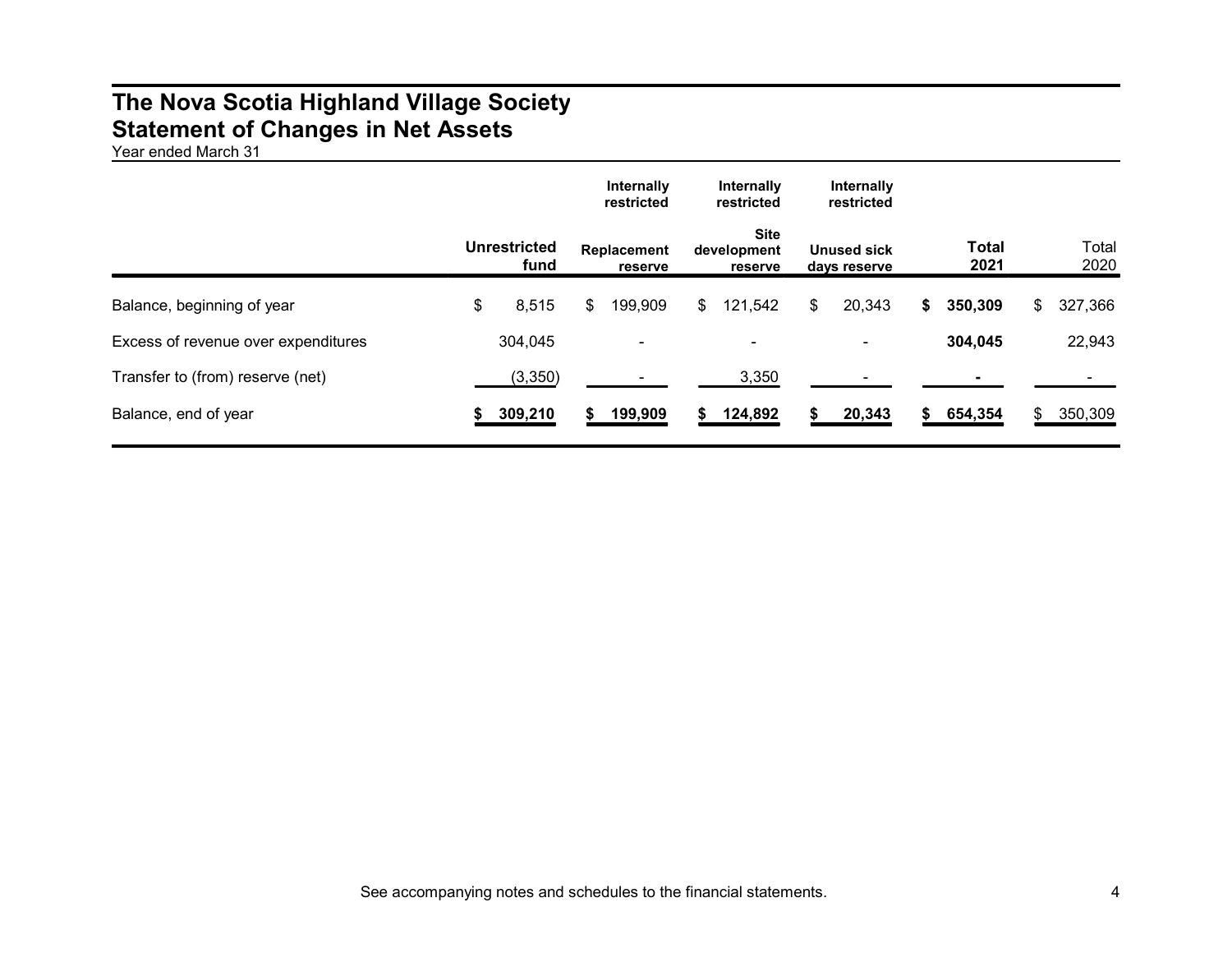### The Nova Scotia Highland Village Society Statement of Changes in Net Assets

Year ended March 31

|                                     |                             | Internally<br>restricted | Internally<br>restricted              | Internally<br>restricted           |    |                      |     |               |
|-------------------------------------|-----------------------------|--------------------------|---------------------------------------|------------------------------------|----|----------------------|-----|---------------|
|                                     | <b>Unrestricted</b><br>fund | Replacement<br>reserve   | <b>Site</b><br>development<br>reserve | <b>Unused sick</b><br>days reserve |    | <b>Total</b><br>2021 |     | Total<br>2020 |
| Balance, beginning of year          | \$<br>8,515                 | \$<br>199,909            | \$<br>121,542                         | \$<br>20,343                       | S. | 350,309              | \$  | 327,366       |
| Excess of revenue over expenditures | 304,045                     | $\overline{\phantom{0}}$ |                                       |                                    |    | 304,045              |     | 22,943        |
| Transfer to (from) reserve (net)    | (3,350)                     |                          | 3,350                                 |                                    |    |                      |     |               |
| Balance, end of year                | 309,210                     | 199,909                  | 124,892                               | 20,343                             |    | 654,354              | \$. | 350,309       |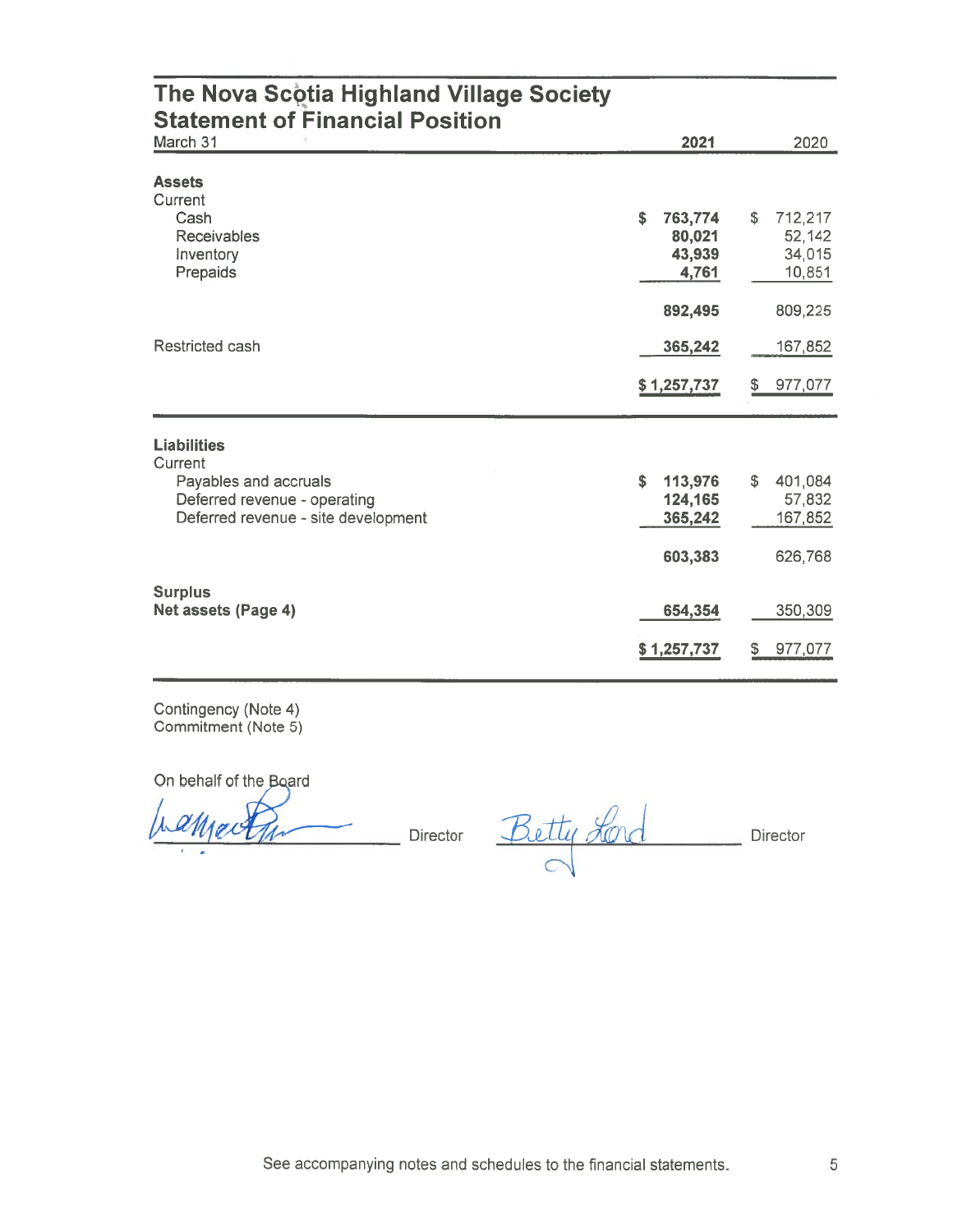| The Nova Scotia Highland Village Society<br><b>Statement of Financial Position</b>           |                                            |                                             |
|----------------------------------------------------------------------------------------------|--------------------------------------------|---------------------------------------------|
| March 31                                                                                     | 2021                                       | 2020                                        |
| <b>Assets</b><br>Current                                                                     |                                            |                                             |
| Cash<br><b>Receivables</b><br>Inventory<br>Prepaids                                          | \$<br>763,774<br>80,021<br>43,939<br>4,761 | £.<br>712,217<br>52,142<br>34,015<br>10,851 |
|                                                                                              | 892,495                                    | 809,225                                     |
| <b>Restricted cash</b>                                                                       | 365,242                                    | 167,852                                     |
|                                                                                              | \$1,257,737                                | 977,077<br>\$                               |
| <b>Liabilities</b><br>Current                                                                |                                            |                                             |
| Payables and accruals<br>Deferred revenue - operating<br>Deferred revenue - site development | \$<br>113,976<br>124,165<br>365,242        | 401,084<br>£.<br>57,832<br>167,852          |
|                                                                                              | 603,383                                    | 626,768                                     |
| <b>Surplus</b><br>Net assets (Page 4)                                                        | 654,354                                    | 350,309                                     |
|                                                                                              | \$1,257,737                                | 977,077<br>\$                               |

Contingency (Note 4)<br>Commitment (Note 5)

On behalf of the Board

raction

Director Betty Lord Director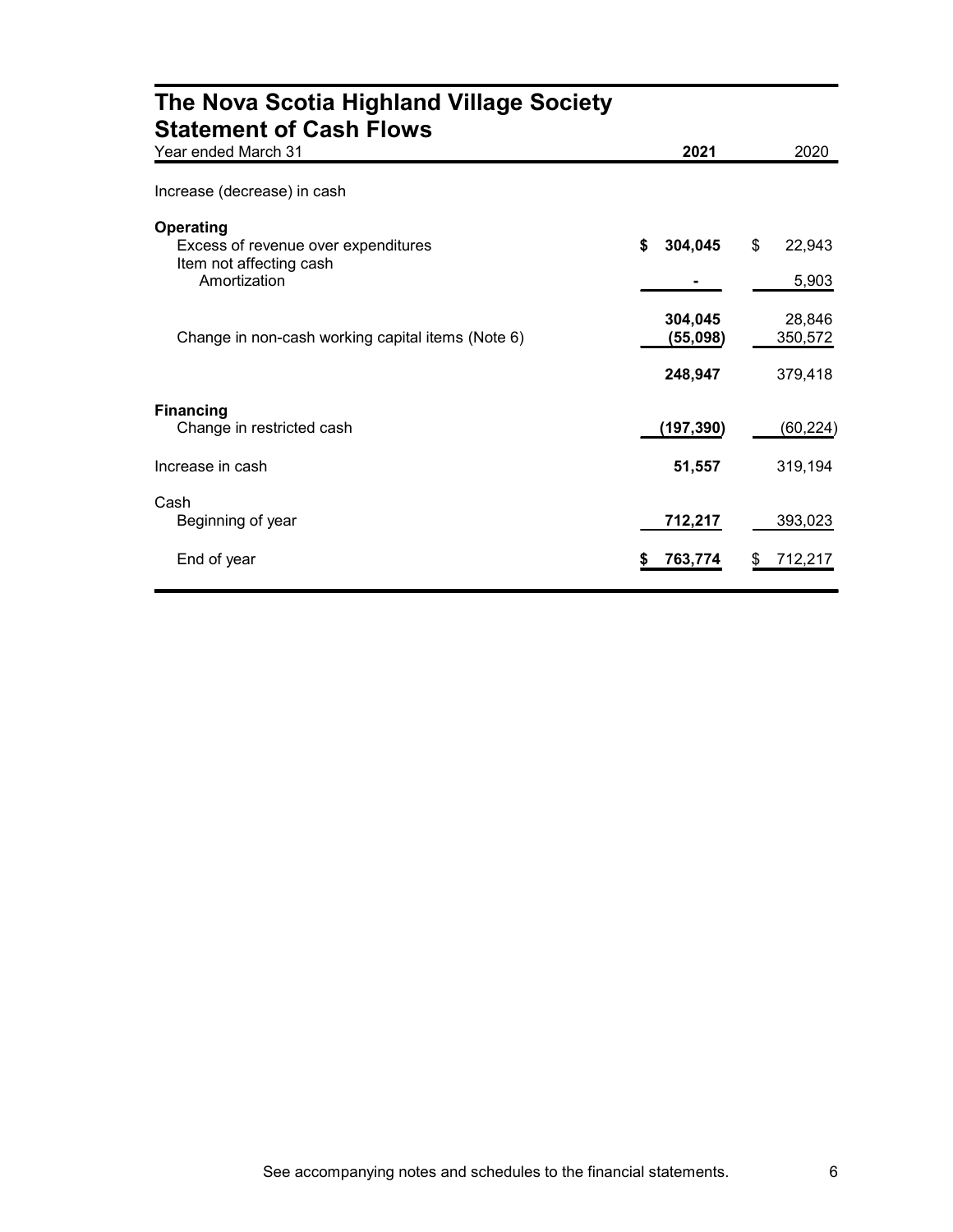| The Nova Scotia Highland Village Society<br><b>Statement of Cash Flows</b>                         |                                |                              |
|----------------------------------------------------------------------------------------------------|--------------------------------|------------------------------|
| Year ended March 31                                                                                | 2021                           | 2020                         |
| Increase (decrease) in cash                                                                        |                                |                              |
| <b>Operating</b><br>Excess of revenue over expenditures<br>Item not affecting cash<br>Amortization | \$<br>304,045                  | \$<br>22,943<br>5,903        |
| Change in non-cash working capital items (Note 6)                                                  | 304,045<br>(55,098)<br>248,947 | 28,846<br>350,572<br>379,418 |
| <b>Financing</b><br>Change in restricted cash                                                      | (197, 390)                     | (60, 224)                    |
| Increase in cash                                                                                   | 51,557                         | 319,194                      |
| Cash<br>Beginning of year                                                                          | 712,217                        | 393,023                      |
| End of year                                                                                        | 763,774                        | 712,217                      |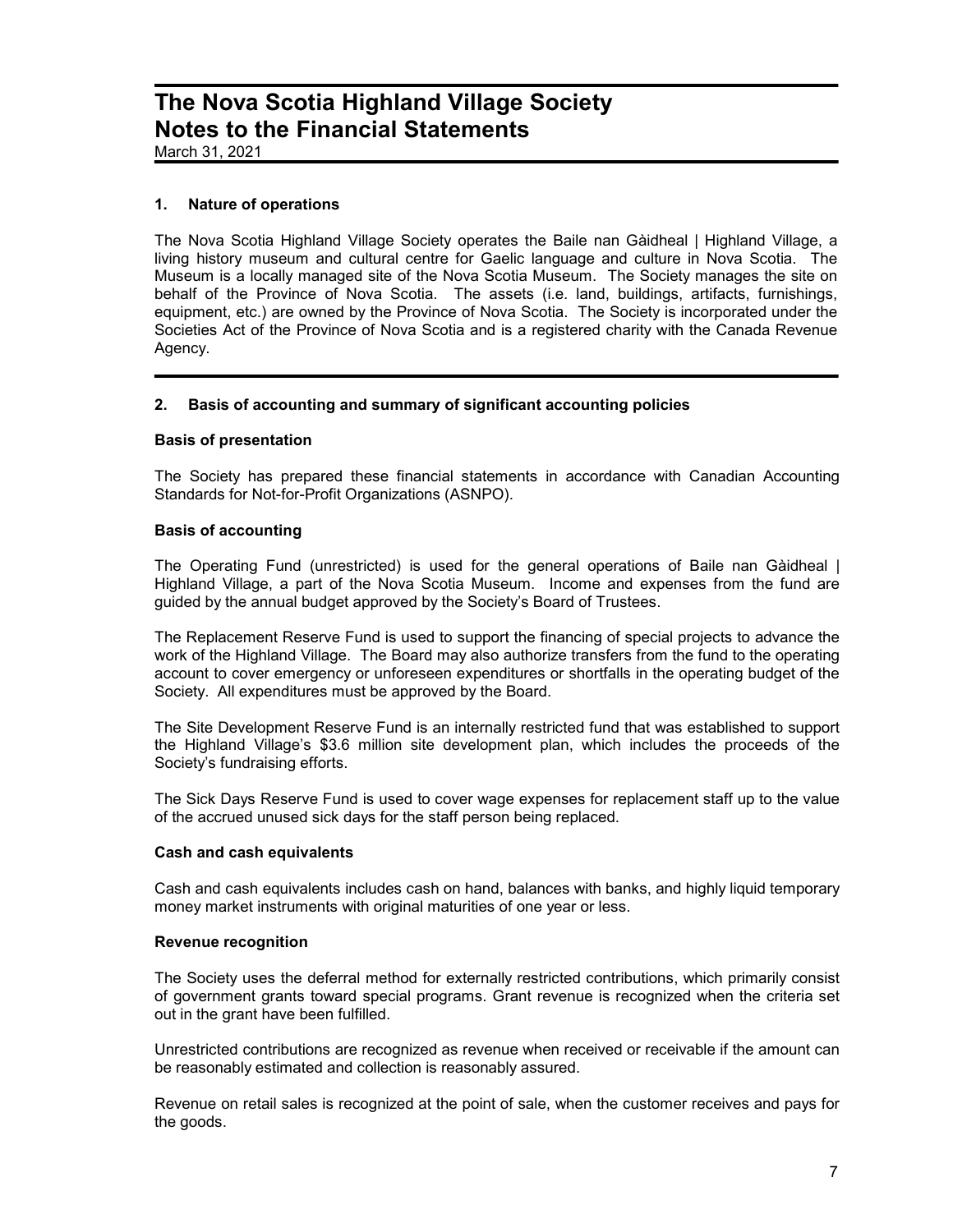March 31, 2021

### 1. Nature of operations

The Nova Scotia Highland Village Society operates the Baile nan Gàidheal | Highland Village, a living history museum and cultural centre for Gaelic language and culture in Nova Scotia. The Museum is a locally managed site of the Nova Scotia Museum. The Society manages the site on behalf of the Province of Nova Scotia. The assets (i.e. land, buildings, artifacts, furnishings, equipment, etc.) are owned by the Province of Nova Scotia. The Society is incorporated under the Societies Act of the Province of Nova Scotia and is a registered charity with the Canada Revenue Agency.

### 2. Basis of accounting and summary of significant accounting policies

### Basis of presentation

The Society has prepared these financial statements in accordance with Canadian Accounting Standards for Not-for-Profit Organizations (ASNPO).

### Basis of accounting

The Operating Fund (unrestricted) is used for the general operations of Baile nan Gàidheal | Highland Village, a part of the Nova Scotia Museum. Income and expenses from the fund are guided by the annual budget approved by the Society's Board of Trustees.

The Replacement Reserve Fund is used to support the financing of special projects to advance the work of the Highland Village. The Board may also authorize transfers from the fund to the operating account to cover emergency or unforeseen expenditures or shortfalls in the operating budget of the Society. All expenditures must be approved by the Board.

The Site Development Reserve Fund is an internally restricted fund that was established to support the Highland Village's \$3.6 million site development plan, which includes the proceeds of the Society's fundraising efforts.

The Sick Days Reserve Fund is used to cover wage expenses for replacement staff up to the value of the accrued unused sick days for the staff person being replaced.

### Cash and cash equivalents

Cash and cash equivalents includes cash on hand, balances with banks, and highly liquid temporary money market instruments with original maturities of one year or less.

### Revenue recognition

The Society uses the deferral method for externally restricted contributions, which primarily consist of government grants toward special programs. Grant revenue is recognized when the criteria set out in the grant have been fulfilled.

Unrestricted contributions are recognized as revenue when received or receivable if the amount can be reasonably estimated and collection is reasonably assured.

Revenue on retail sales is recognized at the point of sale, when the customer receives and pays for the goods.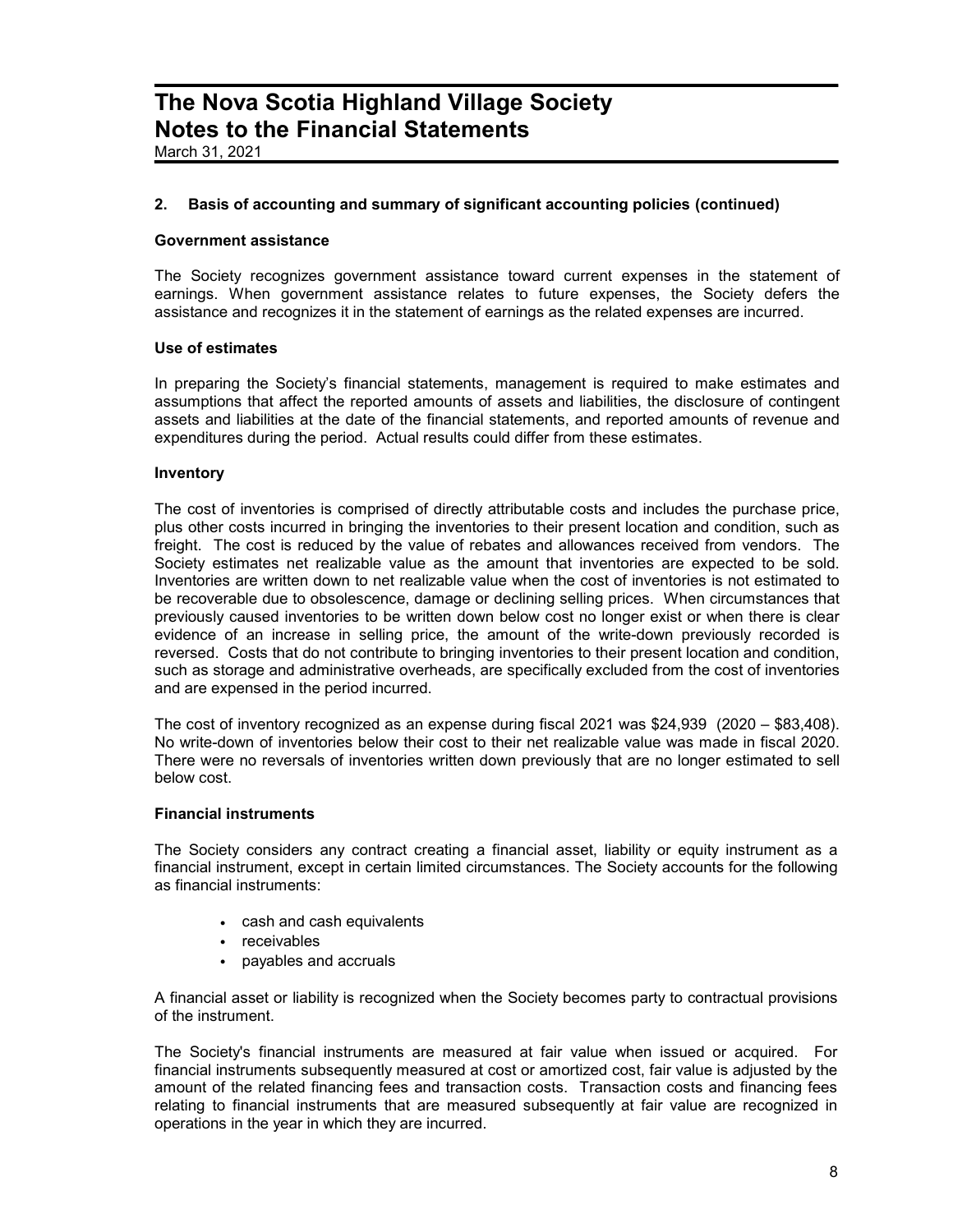March 31, 2021

### 2. Basis of accounting and summary of significant accounting policies (continued)

#### Government assistance

The Society recognizes government assistance toward current expenses in the statement of earnings. When government assistance relates to future expenses, the Society defers the assistance and recognizes it in the statement of earnings as the related expenses are incurred.

### Use of estimates

In preparing the Society's financial statements, management is required to make estimates and assumptions that affect the reported amounts of assets and liabilities, the disclosure of contingent assets and liabilities at the date of the financial statements, and reported amounts of revenue and expenditures during the period. Actual results could differ from these estimates.

#### **Inventory**

The cost of inventories is comprised of directly attributable costs and includes the purchase price, plus other costs incurred in bringing the inventories to their present location and condition, such as freight. The cost is reduced by the value of rebates and allowances received from vendors. The Society estimates net realizable value as the amount that inventories are expected to be sold. Inventories are written down to net realizable value when the cost of inventories is not estimated to be recoverable due to obsolescence, damage or declining selling prices. When circumstances that previously caused inventories to be written down below cost no longer exist or when there is clear evidence of an increase in selling price, the amount of the write-down previously recorded is reversed. Costs that do not contribute to bringing inventories to their present location and condition, such as storage and administrative overheads, are specifically excluded from the cost of inventories and are expensed in the period incurred.

The cost of inventory recognized as an expense during fiscal 2021 was \$24,939 (2020 – \$83,408). No write-down of inventories below their cost to their net realizable value was made in fiscal 2020. There were no reversals of inventories written down previously that are no longer estimated to sell below cost.

### Financial instruments

The Society considers any contract creating a financial asset, liability or equity instrument as a financial instrument, except in certain limited circumstances. The Society accounts for the following as financial instruments:

- cash and cash equivalents
- receivables
- payables and accruals

A financial asset or liability is recognized when the Society becomes party to contractual provisions of the instrument.

The Society's financial instruments are measured at fair value when issued or acquired. For financial instruments subsequently measured at cost or amortized cost, fair value is adjusted by the amount of the related financing fees and transaction costs. Transaction costs and financing fees relating to financial instruments that are measured subsequently at fair value are recognized in operations in the year in which they are incurred.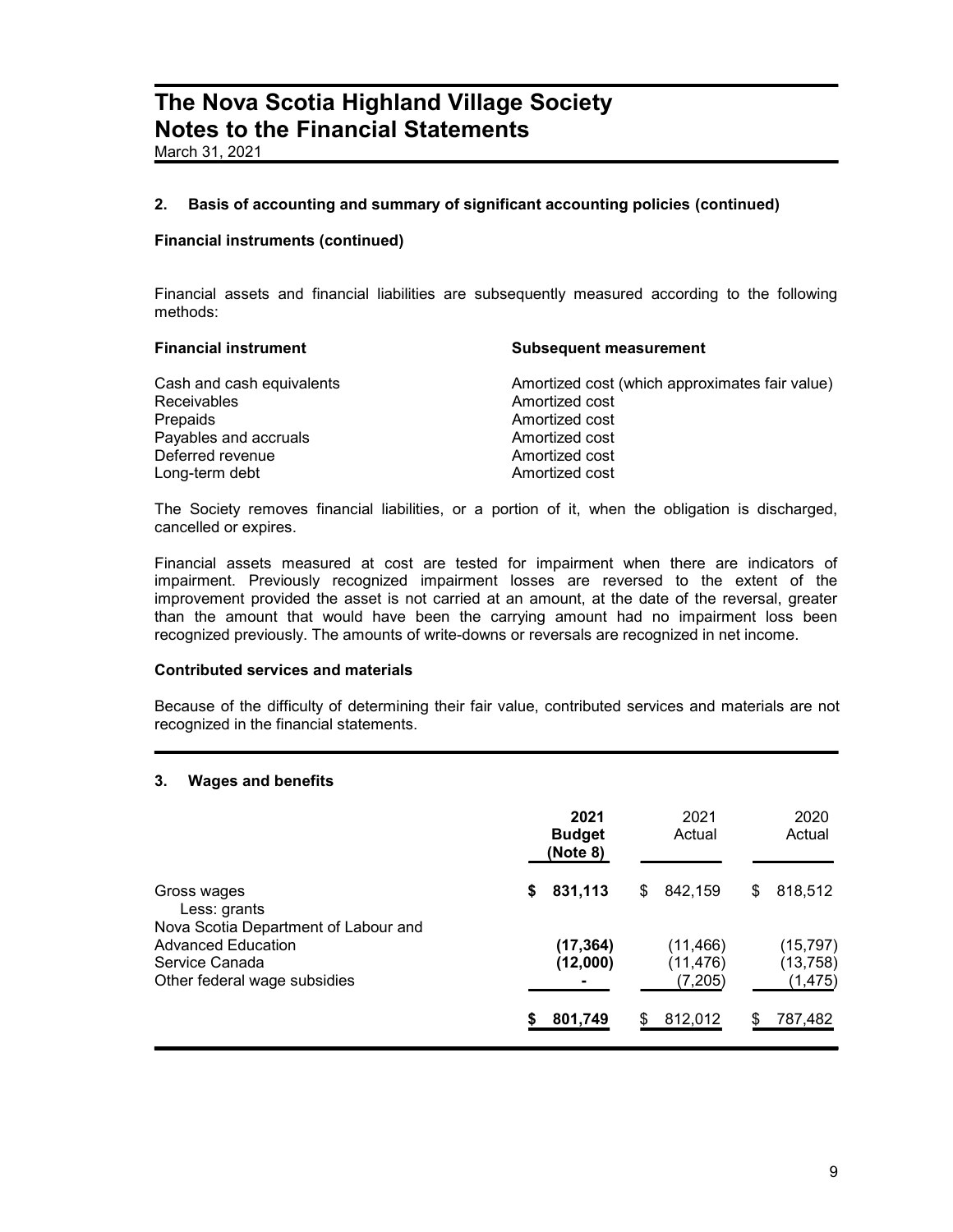March 31, 2021

### 2. Basis of accounting and summary of significant accounting policies (continued)

### Financial instruments (continued)

Financial assets and financial liabilities are subsequently measured according to the following methods:

| <b>Financial instrument</b> | <b>Subsequent measurement</b>                  |
|-----------------------------|------------------------------------------------|
| Cash and cash equivalents   | Amortized cost (which approximates fair value) |
| <b>Receivables</b>          | Amortized cost                                 |
| Prepaids                    | Amortized cost                                 |
| Payables and accruals       | Amortized cost                                 |
| Deferred revenue            | Amortized cost                                 |
| Long-term debt              | Amortized cost                                 |

The Society removes financial liabilities, or a portion of it, when the obligation is discharged, cancelled or expires.

Financial assets measured at cost are tested for impairment when there are indicators of impairment. Previously recognized impairment losses are reversed to the extent of the improvement provided the asset is not carried at an amount, at the date of the reversal, greater than the amount that would have been the carrying amount had no impairment loss been recognized previously. The amounts of write-downs or reversals are recognized in net income.

### Contributed services and materials

Because of the difficulty of determining their fair value, contributed services and materials are not recognized in the financial statements.

### 3. Wages and benefits

|                                                                             | 2021<br><b>Budget</b><br>(Note 8) | 2021<br>Actual                    | 2020<br>Actual                     |
|-----------------------------------------------------------------------------|-----------------------------------|-----------------------------------|------------------------------------|
| Gross wages<br>Less: grants<br>Nova Scotia Department of Labour and         | 831,113<br>\$                     | 842,159<br>S                      | 818,512<br>S                       |
| <b>Advanced Education</b><br>Service Canada<br>Other federal wage subsidies | (17, 364)<br>(12,000)             | (11, 466)<br>(11, 476)<br>(7,205) | (15, 797)<br>(13, 758)<br>(1, 475) |
|                                                                             | 801,749                           | 812,012                           | 787,482                            |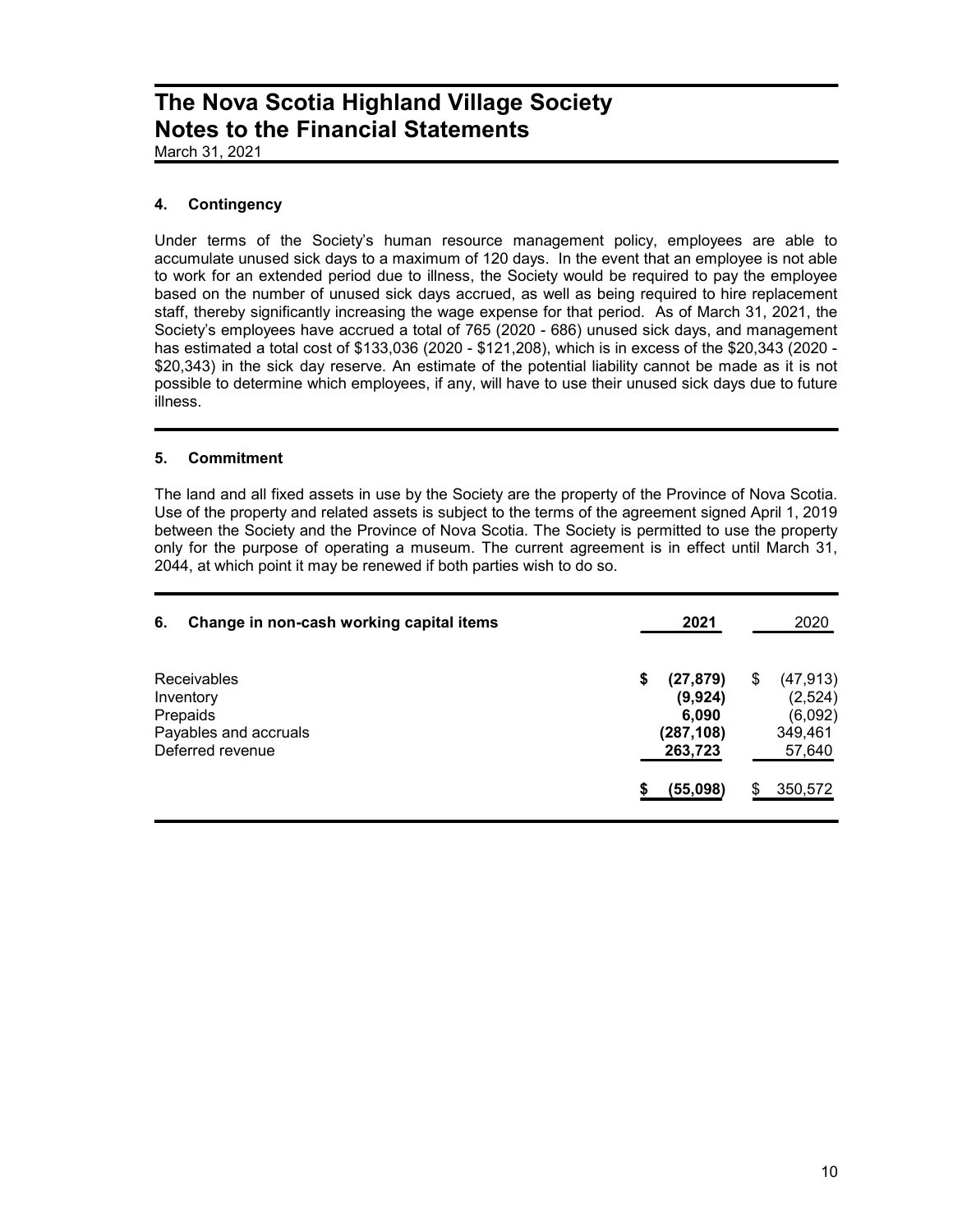March 31, 2021

### 4. Contingency

Under terms of the Society's human resource management policy, employees are able to accumulate unused sick days to a maximum of 120 days. In the event that an employee is not able to work for an extended period due to illness, the Society would be required to pay the employee based on the number of unused sick days accrued, as well as being required to hire replacement staff, thereby significantly increasing the wage expense for that period. As of March 31, 2021, the Society's employees have accrued a total of 765 (2020 - 686) unused sick days, and management has estimated a total cost of \$133,036 (2020 - \$121,208), which is in excess of the \$20,343 (2020 - \$20,343) in the sick day reserve. An estimate of the potential liability cannot be made as it is not possible to determine which employees, if any, will have to use their unused sick days due to future illness.

### 5. Commitment

The land and all fixed assets in use by the Society are the property of the Province of Nova Scotia. Use of the property and related assets is subject to the terms of the agreement signed April 1, 2019 between the Society and the Province of Nova Scotia. The Society is permitted to use the property only for the purpose of operating a museum. The current agreement is in effect until March 31, 2044, at which point it may be renewed if both parties wish to do so.

| 6. | Change in non-cash working capital items                                                 | 2021                                                        |   | 2020                                                 |
|----|------------------------------------------------------------------------------------------|-------------------------------------------------------------|---|------------------------------------------------------|
|    | <b>Receivables</b><br>Inventory<br>Prepaids<br>Payables and accruals<br>Deferred revenue | \$<br>(27, 879)<br>(9,924)<br>6,090<br>(287,108)<br>263,723 | S | (47, 913)<br>(2,524)<br>(6,092)<br>349,461<br>57,640 |
|    |                                                                                          | (55,098)                                                    |   | 350,572                                              |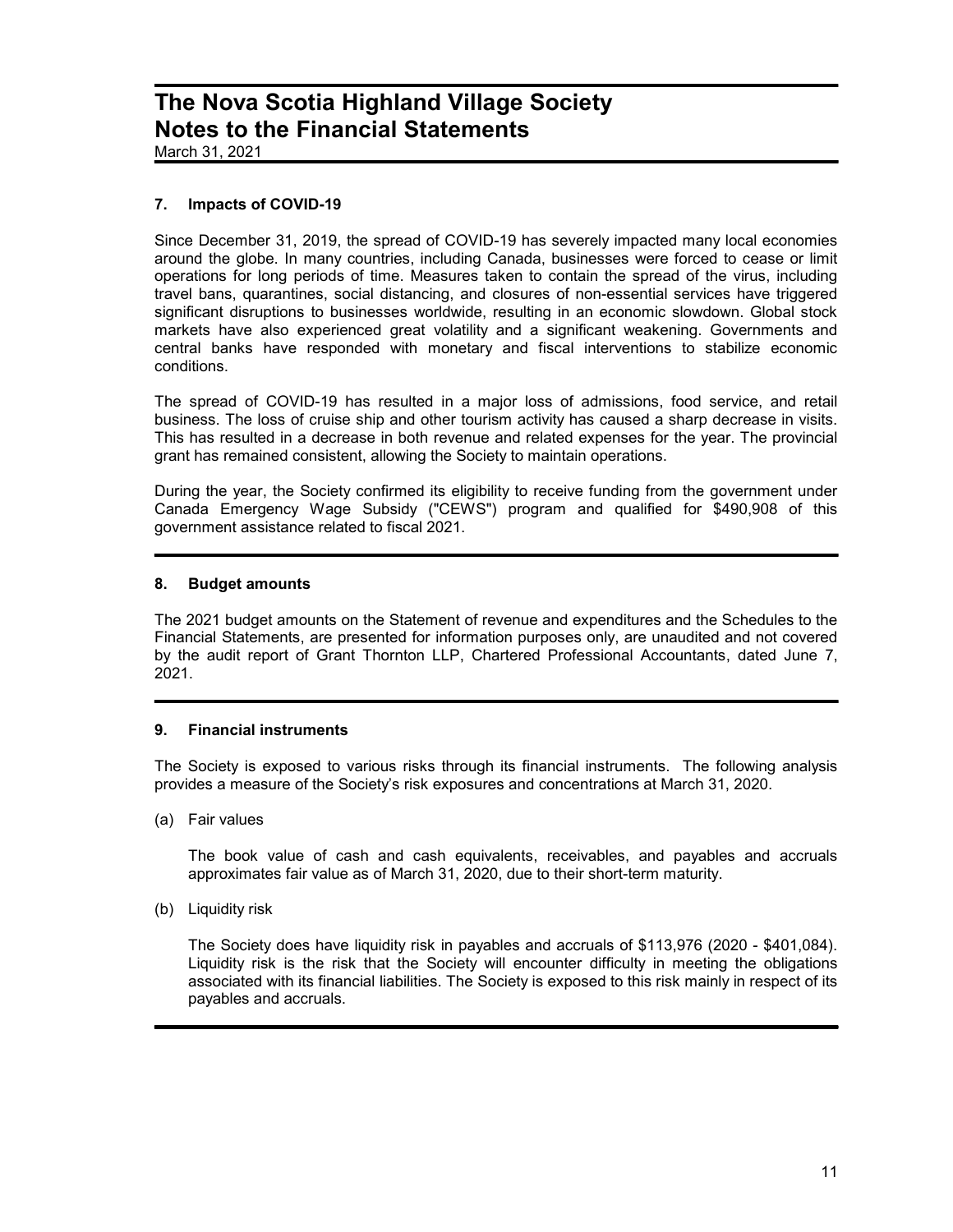March 31, 2021

### 7. Impacts of COVID-19

Since December 31, 2019, the spread of COVID-19 has severely impacted many local economies around the globe. In many countries, including Canada, businesses were forced to cease or limit operations for long periods of time. Measures taken to contain the spread of the virus, including travel bans, quarantines, social distancing, and closures of non-essential services have triggered significant disruptions to businesses worldwide, resulting in an economic slowdown. Global stock markets have also experienced great volatility and a significant weakening. Governments and central banks have responded with monetary and fiscal interventions to stabilize economic conditions.

The spread of COVID-19 has resulted in a major loss of admissions, food service, and retail business. The loss of cruise ship and other tourism activity has caused a sharp decrease in visits. This has resulted in a decrease in both revenue and related expenses for the year. The provincial grant has remained consistent, allowing the Society to maintain operations.

During the year, the Society confirmed its eligibility to receive funding from the government under Canada Emergency Wage Subsidy ("CEWS") program and qualified for \$490,908 of this government assistance related to fiscal 2021.

### 8. Budget amounts

The 2021 budget amounts on the Statement of revenue and expenditures and the Schedules to the Financial Statements, are presented for information purposes only, are unaudited and not covered by the audit report of Grant Thornton LLP, Chartered Professional Accountants, dated June 7, 2021.

### 9. Financial instruments

The Society is exposed to various risks through its financial instruments. The following analysis provides a measure of the Society's risk exposures and concentrations at March 31, 2020.

(a) Fair values

The book value of cash and cash equivalents, receivables, and payables and accruals approximates fair value as of March 31, 2020, due to their short-term maturity.

(b) Liquidity risk

The Society does have liquidity risk in payables and accruals of \$113,976 (2020 - \$401,084). Liquidity risk is the risk that the Society will encounter difficulty in meeting the obligations associated with its financial liabilities. The Society is exposed to this risk mainly in respect of its payables and accruals.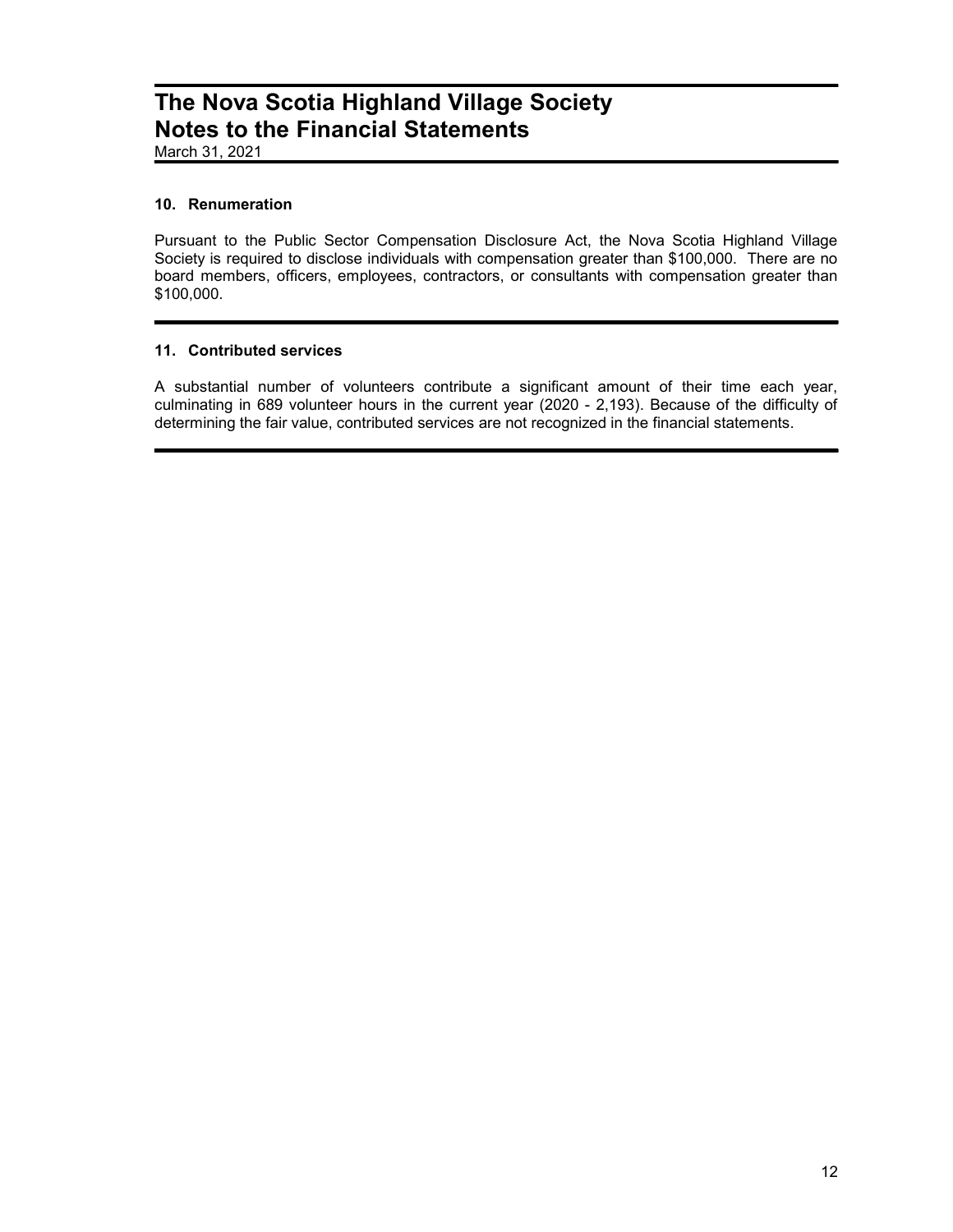March 31, 2021

### 10. Renumeration

Pursuant to the Public Sector Compensation Disclosure Act, the Nova Scotia Highland Village Society is required to disclose individuals with compensation greater than \$100,000. There are no board members, officers, employees, contractors, or consultants with compensation greater than \$100,000.

### 11. Contributed services

A substantial number of volunteers contribute a significant amount of their time each year, culminating in 689 volunteer hours in the current year (2020 - 2,193). Because of the difficulty of determining the fair value, contributed services are not recognized in the financial statements.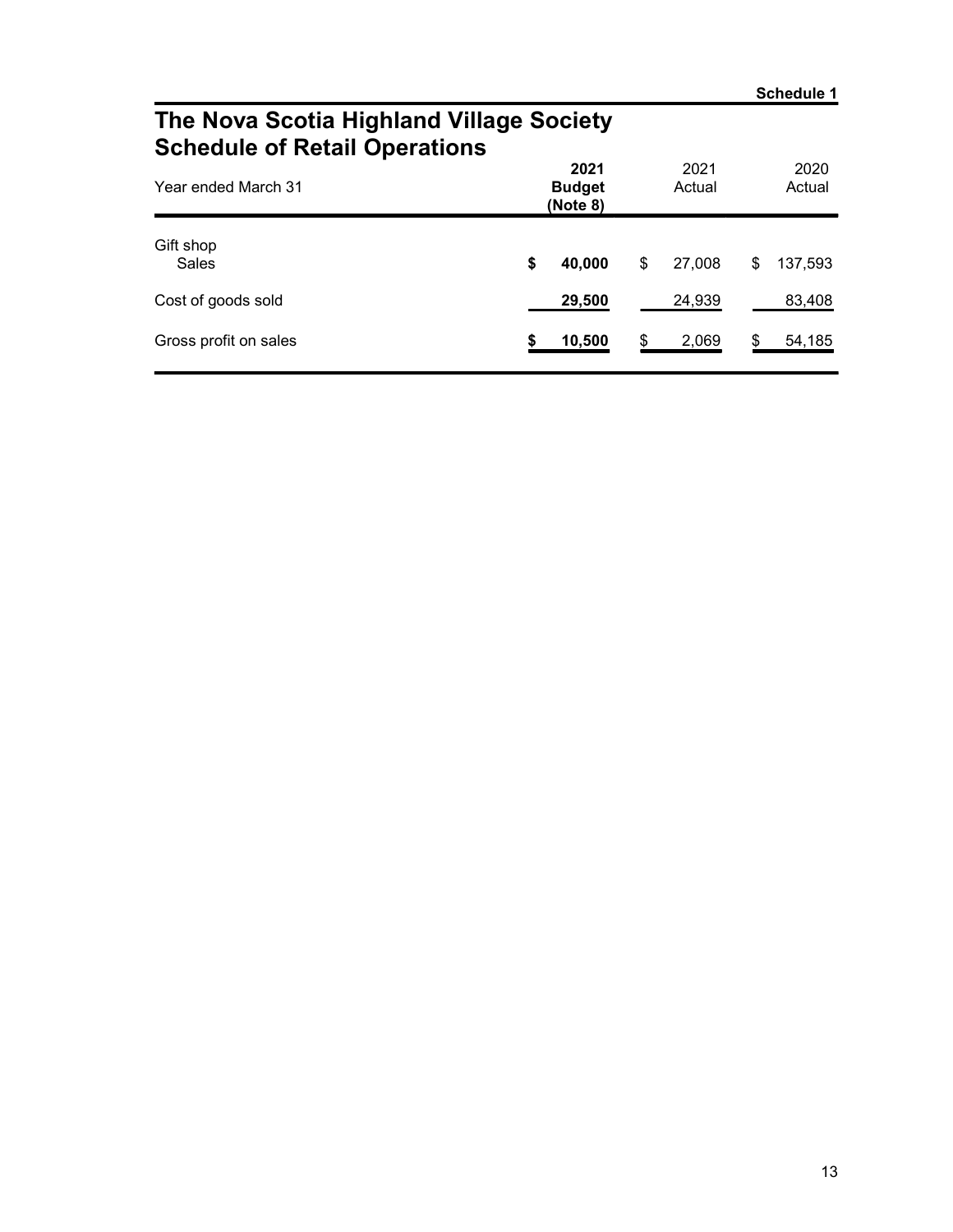### The Nova Scotia Highland Village Society Schedule of Retail Operations

| Year ended March 31   | 2021<br><b>Budget</b><br>(Note 8) | 2021<br>Actual |    | 2020<br>Actual |
|-----------------------|-----------------------------------|----------------|----|----------------|
| Gift shop<br>Sales    | \$<br>40,000                      | \$<br>27,008   | \$ | 137,593        |
| Cost of goods sold    | 29,500                            | 24,939         |    | 83,408         |
| Gross profit on sales | 10,500                            | \$<br>2,069    | S  | 54,185         |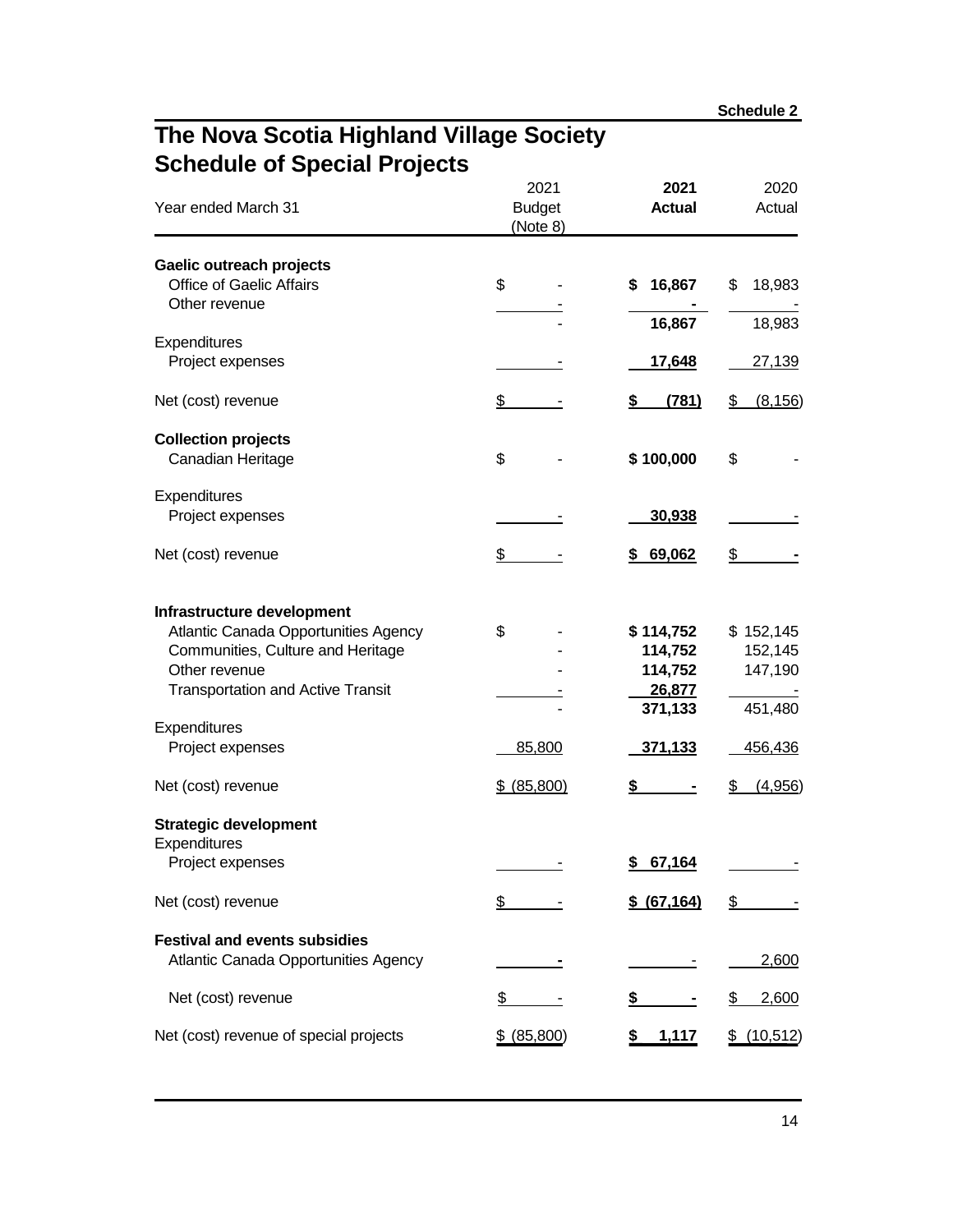**Schedule 2**

### **The Nova Scotia Highland Village Society Schedule of Special Projects**

| Year ended March 31                                                       | 2021<br><b>Budget</b><br>(Note 8) | 2021<br><b>Actual</b> | 2020<br>Actual  |
|---------------------------------------------------------------------------|-----------------------------------|-----------------------|-----------------|
| Gaelic outreach projects                                                  |                                   |                       |                 |
| <b>Office of Gaelic Affairs</b>                                           | \$                                | 16,867<br>\$          | \$<br>18,983    |
| Other revenue                                                             |                                   |                       |                 |
| Expenditures                                                              |                                   | 16,867                | 18,983          |
| Project expenses                                                          |                                   | <u>17,648</u>         | 27,139          |
| Net (cost) revenue                                                        | \$                                | (781)<br>\$           | \$<br>(8, 156)  |
| <b>Collection projects</b>                                                |                                   |                       |                 |
| Canadian Heritage                                                         | \$                                | \$100,000             | \$              |
| Expenditures                                                              |                                   |                       |                 |
| Project expenses                                                          |                                   | 30,938                |                 |
| Net (cost) revenue                                                        | \$                                | 69,062<br>\$          | $\frac{2}{3}$   |
| Infrastructure development                                                | \$                                | \$114,752             | \$152,145       |
| Atlantic Canada Opportunities Agency<br>Communities, Culture and Heritage |                                   | 114,752               | 152,145         |
| Other revenue                                                             |                                   | 114,752               | 147,190         |
| <b>Transportation and Active Transit</b>                                  |                                   | 26,877<br>371,133     | 451,480         |
| Expenditures                                                              |                                   |                       |                 |
| Project expenses                                                          | 85,800                            | <u>371,133</u>        | 456,436         |
| Net (cost) revenue                                                        | \$ (85,800)                       | \$                    | (4,956)<br>\$   |
| <b>Strategic development</b>                                              |                                   |                       |                 |
| Expenditures                                                              |                                   |                       |                 |
| Project expenses                                                          |                                   | 67,164<br><u>\$</u>   |                 |
| Net (cost) revenue                                                        | \$                                | \$ (67, 164)          | \$              |
| <b>Festival and events subsidies</b>                                      |                                   |                       |                 |
| Atlantic Canada Opportunities Agency                                      |                                   |                       | 2,600           |
| Net (cost) revenue                                                        | \$                                | \$                    | \$<br>2,600     |
| Net (cost) revenue of special projects                                    | \$ (85,800)                       | <u>1,117</u>          | (10, 512)<br>\$ |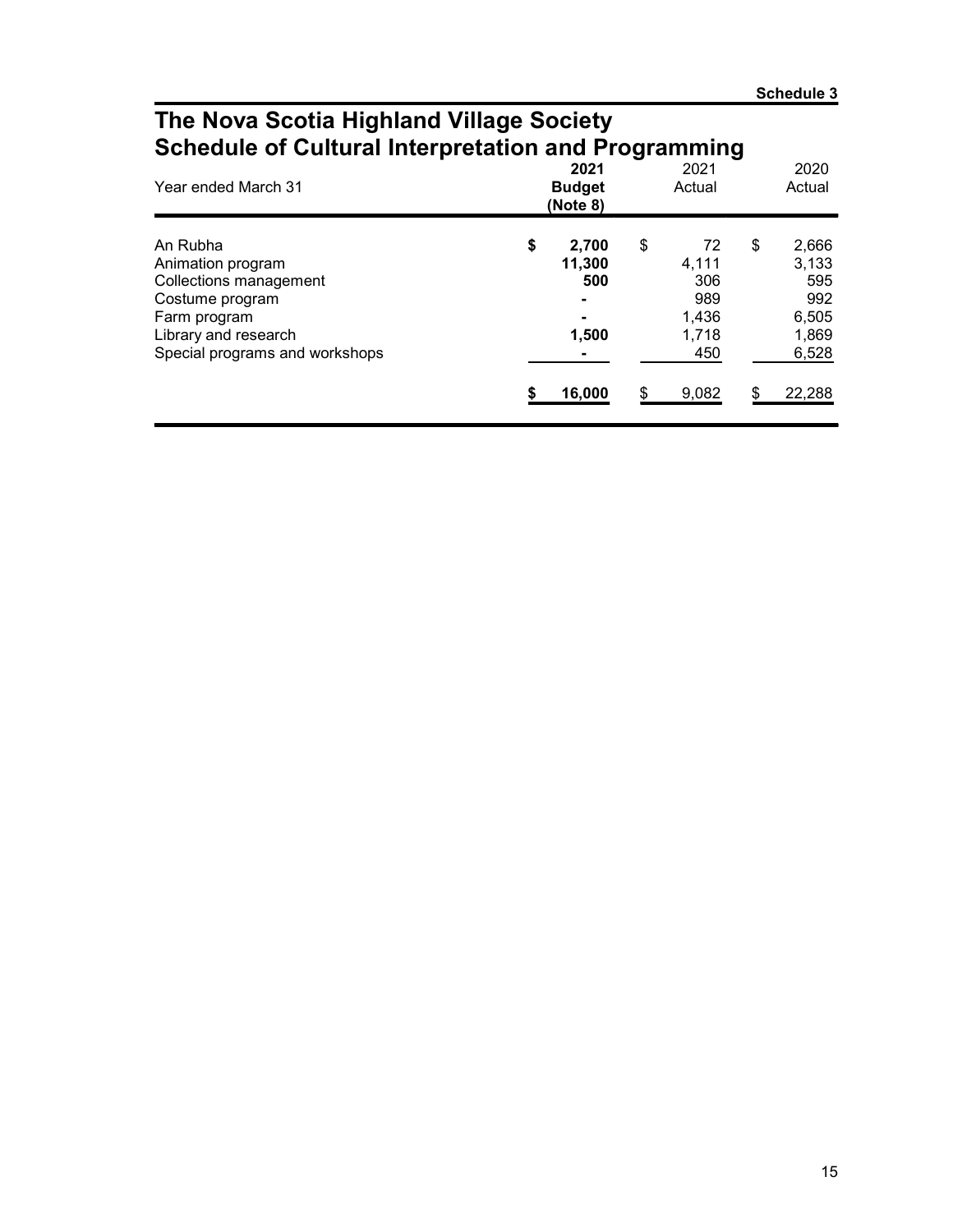### The Nova Scotia Highland Village Society Schedule of Cultural Interpretation and Programming

| Year ended March 31                                                                                                                                  | 2021<br><b>Budget</b><br>(Note 8)     |    | 2021<br>Actual                                     |     | 2020<br>Actual                                          |
|------------------------------------------------------------------------------------------------------------------------------------------------------|---------------------------------------|----|----------------------------------------------------|-----|---------------------------------------------------------|
| An Rubha<br>Animation program<br>Collections management<br>Costume program<br>Farm program<br>Library and research<br>Special programs and workshops | \$<br>2,700<br>11,300<br>500<br>1,500 | \$ | 72<br>4,111<br>306<br>989<br>1.436<br>1,718<br>450 | \$  | 2,666<br>3,133<br>595<br>992<br>6,505<br>1,869<br>6,528 |
|                                                                                                                                                      | 16,000                                | S. | 9,082                                              | \$. | 22,288                                                  |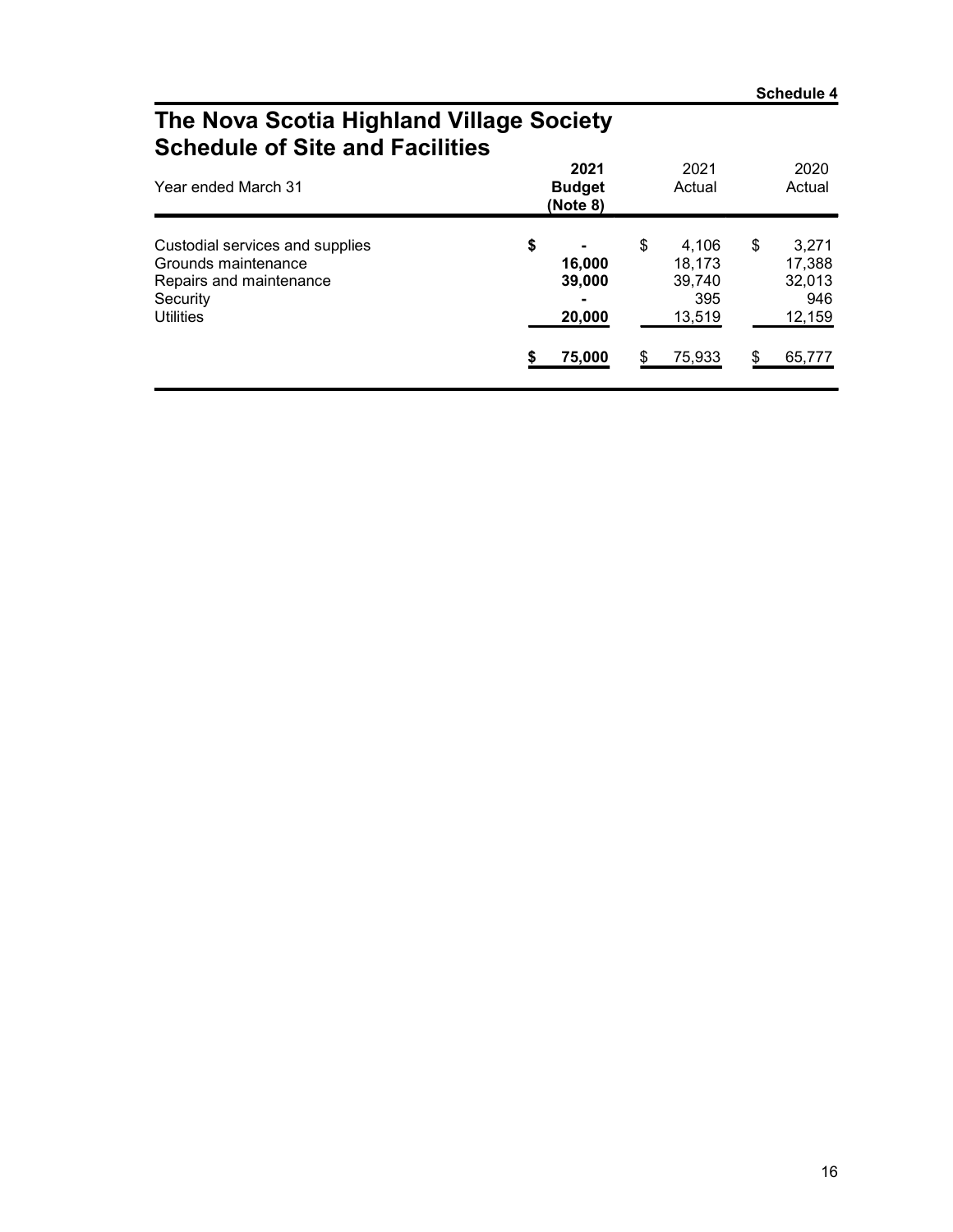### The Nova Scotia Highland Village Society Schedule of Site and Facilities

| Year ended March 31                                                                                               | 2021<br><b>Budget</b><br>(Note 8)               | 2021<br>Actual                                                   |          | 2020<br>Actual                                       |
|-------------------------------------------------------------------------------------------------------------------|-------------------------------------------------|------------------------------------------------------------------|----------|------------------------------------------------------|
| Custodial services and supplies<br>Grounds maintenance<br>Repairs and maintenance<br>Security<br><b>Utilities</b> | \$<br>16,000<br>39,000<br>-<br>20,000<br>75,000 | \$<br>4,106<br>18,173<br>39,740<br>395<br>13,519<br>\$<br>75,933 | \$<br>\$ | 3,271<br>17,388<br>32,013<br>946<br>12,159<br>65,777 |